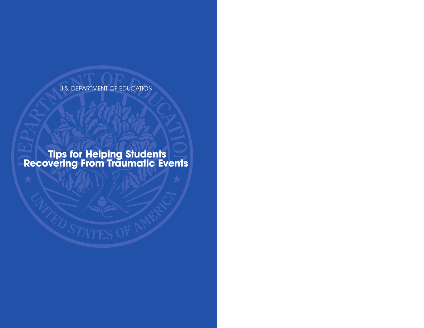U.S. DEPARTMENT OF EDUCATION

**Tips for Helping Students Recovering From Traumatic Events**

TED STATES OF A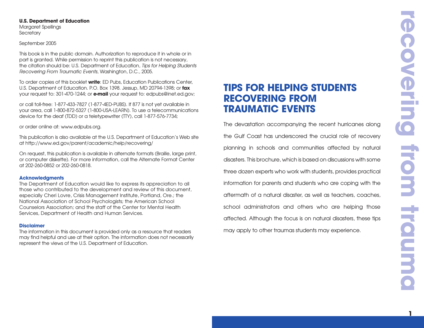### **U.S. Department of Education**

Margaret Spellings **Secretary** 

### September 2005

This book is in the public domain. Authorization to reproduce it in whole or in part is granted. While permission to reprint this publication is not necessary, the citation should be: U.S. Department of Education, *Tips for Helping Students Recovering From Traumatic Events*, Washington, D.C., 2005.

To order copies of this booklet **write**: ED Pubs, Education Publications Center, U.S. Department of Education. P.O. Box 1398. Jessup, MD 20794-1398; or **fax** your request to: 301-470-1244; or **e-mail** your request to: edpubs@inet.ed.gov;

or call toll-free: 1-877-433-7827 (1-877-4ED-PUBS). If 877 is not yet available in your area, call 1-800-872-5327 (1-800-USA-LEARN). To use a telecommunications device for the deaf (TDD) or a teletypewriter (TTY), call 1-877-576-7734;

or order online at: www.edpubs.org.

This publication is also available at the U.S. Department of Education's Web site at http://www.ed.gov/parent/academic/help/recovering/

On request, this publication is available in alternate formats (Braille, large print, or computer diskette). For more information, call the Alternate Format Center at 202-260-0852 or 202-260-0818.

### **Acknowledgments**

The Department of Education would like to express its appreciation to all those who contributed to the development and review of this document, especially Cheri Lovre, Crisis Management Institute, Portland, Ore.; the National Association of School Psychologists; the American School Counselors Association; and the staff of the Center for Mental Health Services, Department of Health and Human Services.

### **Disclaimer**

The information in this document is provided only as a resource that readers may find helpful and use at their option. The information does not necessarily represent the views of the U.S. Department of Education.

### **TIPS FOR HELPING STUDENTS RECOVERING FROM TRAUMATIC EVENTS**

The devastation accompanying the recent hurricanes along the Gulf Coast has underscored the crucial role of recovery planning in schools and communities affected by natural disasters. This brochure, which is based on discussions with some three dozen experts who work with students, provides practical information for parents and students who are coping with the aftermath of a natural disaster, as well as teachers, coaches, school administrators and others who are helping those affected. Although the focus is on natural disasters, these tips may apply to other traumas students may experience.

**1**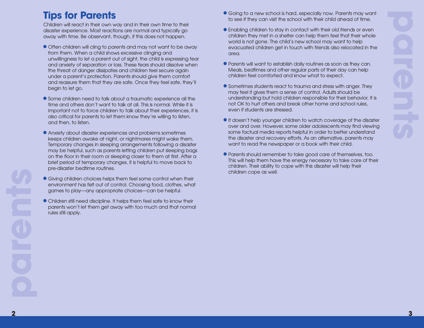## **Tips for Parents**

Children will react in their own way and in their own time to their disaster experience. Most reactions are normal and typically go away with time. Be observant, though, if this does not happen.

- Often children will cling to parents and may not want to be away from them. When a child shows excessive clinging and unwillingness to let a parent out of sight, the child is expressing fear and anxiety of separation or loss. These fears should dissolve when the threat of danger dissipates and children feel secure again under a parent's protection. Parents should give them comfort and reassure them that they are safe. Once they feel safe, they'll begin to let go.
- Some children need to talk about a traumatic experience all the time and others don't want to talk at all. This is normal. While it is important not to force children to talk about their experiences, it is also critical for parents to let them know they're willing to listen, and then, to listen.
- **Anxiety about disaster experiences and problems sometimes** keeps children awake at night, or nightmares might wake them. Temporary changes in sleeping arrangements following a disaster may be helpful, such as parents letting children put sleeping bags on the floor in their room or sleeping closer to them at first. After a brief period of temporary changes, it is helpful to move back to pre-disaster bedtime routines.
- **•** Giving children choices helps them feel some control when their environment has felt out of control. Choosing food, clothes, what games to play—any appropriate choices—can be helpful.
- Children still need discipline. It helps them feel safe to know their parents won't let them get away with too much and that normal rules still apply.
- Going to a new school is hard, especially now. Parents may want to see if they can visit the school with their child ahead of time.
- **Enabling children to stay in contact with their old friends or even** children they met in a shelter can help them feel that their whole world is not gone. The child's new school may want to help evacuated children get in touch with friends also relocated in the area.
- Parents will want to establish daily routines as soon as they can. Meals, bedtimes and other regular parts of their day can help children feel comforted and know what to expect.
- Sometimes students react to trauma and stress with anger. They may feel it gives them a sense of control. Adults should be understanding but hold children responsible for their behavior. It is not OK to hurt others and break other home and school rules, even if students are stressed.
- $\bullet$  It doesn't help younger children to watch coverage of the disaster over and over. However, some older adolescents may find viewing some factual media reports helpful in order to better understand the disaster and recovery efforts. As an alternative, parents may want to read the newspaper or a book with their child.
- Parents should remember to take good care of themselves, too. This will help them have the energy necessary to take care of their children. Their ability to cope with this disaster will help their children cope as well.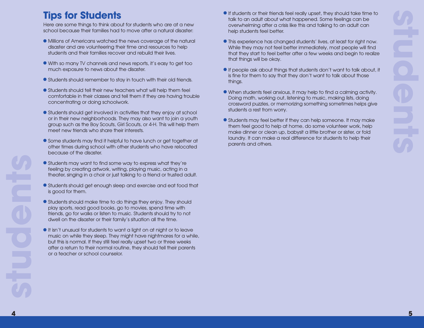## **Tips for Students**

Here are some things to think about for students who are at a new school because their families had to move after a natural disaster:

- **Millions of Americans watched the news coverage of the natural** disaster and are volunteering their time and resources to help students and their families recover and rebuild their lives.
- <sup>n</sup>With so many TV channels and news reports, it's easy to get too much exposure to news about the disaster.
- Students should remember to stay in touch with their old friends.
- $\bullet$  Students should tell their new teachers what will help them feel comfortable in their classes and tell them if they are having trouble concentrating or doing schoolwork.
- **Students should get involved in activities that they enjoy at school** or in their new neighborhoods. They may also want to join a youth group such as the Boy Scouts, Girl Scouts, or 4-H. This will help them meet new friends who share their interests.
- **•** Some students may find it helpful to have lunch or get together at other times during school with other students who have relocated because of the disaster.
- Students may want to find some way to express what they're feeling by creating artwork, writing, playing music, acting in a theater, singing in a choir or just talking to a friend or trusted adult.
- **•** Students should get enough sleep and exercise and eat food that is good for them.
- $\bullet$  Students should make time to do things they enjoy. They should play sports, read good books, go to movies, spend time with friends, go for walks or listen to music. Students should try to not dwell on the disaster or their family's situation all the time.
- **It isn't unusual for students to want a light on at night or to leave** music on while they sleep. They might have nightmares for a while, but this is normal. If they still feel really upset two or three weeks after a return to their normal routine, they should tell their parents or a teacher or school counselor.
- $\bullet$  If students or their friends feel really upset, they should take time to talk to an adult about what happened. Some feelings can be overwhelming after a crisis like this and talking to an adult can help students feel better.
- This experience has changed students' lives, at least for right now. While they may not feel better immediately, most people will find that they start to feel better after a few weeks and begin to realize that things will be okay.
- $\bullet$  If people ask about things that students don't want to talk about, it is fine for them to say that they don't want to talk about those things.
- <sup>n</sup>When students feel anxious, it may help to find a calming activity. Doing math, working out, listening to music, making lists, doing crossword puzzles, or memorizing something sometimes helps give students a rest from worry.
- Students may feel better if they can help someone. It may make them feel good to help at home, do some volunteer work, help make dinner or clean up, babysit a little brother or sister, or fold laundry. It can make a real difference for students to help their parents and others.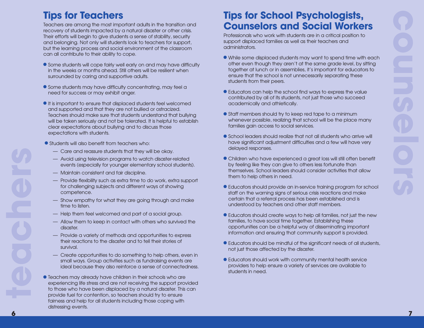## **Tips for Teachers**

Teachers are among the most important adults in the transition and recovery of students impacted by a natural disaster or other crisis. Their efforts will begin to give students a sense of stability, security and belonging. Not only will students look to teachers for support, but the learning process and social environment of the classroom can all contribute to their ability to cope.

- Some students will cope fairly well early on and may have difficulty in the weeks or months ahead. Still others will be resilient when surrounded by caring and supportive adults.
- Some students may have difficulty concentrating, may feel a need for success or may exhibit anger.
- $\bullet$  It is important to ensure that displaced students feel welcomed and supported and that they are not bullied or ostracized. Teachers should make sure that students understand that bullying will be taken seriously and not be tolerated. It is helpful to establish clear expectations about bullying and to discuss those expectations with students.
- $\bullet$  Students will also benefit from teachers who:
	- Care and reassure students that they will be okay.
	- Avoid using television programs to watch disaster-related events (especially for younger elementary school students).
	- Maintain consistent and fair discipline.
	- Provide flexibility such as extra time to do work, extra support for challenging subjects and different ways of showing competence.
	- Show empathy for what they are going through and make time to listen.
	- Help them feel welcomed and part of a social group.
	- Allow them to keep in contact with others who survived the disaster.
	- Provide a variety of methods and opportunities to express their reactions to the disaster and to tell their stories of survival.
	- Create opportunities to do something to help others, even in small ways. Group activities such as fundraising events are ideal because they also reinforce a sense of connectedness.
- $\bullet$  Teachers may already have children in their schools who are experiencing life stress and are not receiving the support provided to those who have been displaced by a natural disaster. This can provide fuel for contention, so teachers should try to ensure fairness and help for all students including those coping with distressing events.

## **Tips for School Psychologists, Counselors and Social Workers**

Professionals who work with students are in a critical position to support displaced families as well as their teachers and administrators.

- <sup>n</sup>While some displaced students may want to spend time with each other even though they aren't at the same grade level, by sitting together at lunch or in assemblies, it's important for educators to ensure that the school is not unnecessarily separating these students from their peers.
- Educators can help the school find ways to express the value contributed by all of its students, not just those who succeed academically and athletically.
- $\bullet$  Staff members should try to keep red tape to a minimum whenever possible, realizing that school will be the place many families gain access to social services.
- $\bullet$  School leaders should realize that not all students who arrive will have significant adjustment difficulties and a few will have very delayed responses.
- Children who have experienced a great loss will still often benefit by feeling like they can give to others less fortunate than themselves. School leaders should consider activities that allow them to help others in need.
- Educators should provide an in-service training program for school staff on the warning signs of serious crisis reactions and make certain that a referral process has been established and is understood by teachers and other staff members.
- Educators should create ways to help all families, not just the new families, to have social time together. Establishing these opportunities can be a helpful way of disseminating important information and ensuring that community support is provided.
- $\bullet$  Educators should be mindful of the significant needs of all students, not just those affected by the disaster.
- $\bullet$  Educators should work with community mental health service providers to help ensure a variety of services are available to students in need.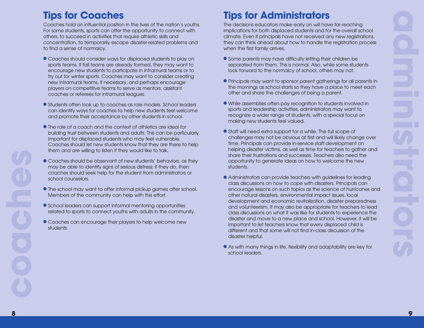## **Tips for Coaches**

Coaches hold an influential position in the lives of the nation's youths. For some students, sports can offer the opportunity to connect with others, to succeed in activities that require athletic skills and concentration, to temporarily escape disaster-related problems and to find a sense of normalcy.

- Coaches should consider ways for displaced students to play on sports teams. If fall teams are already formed, they may want to encourage new students to participate in intramural teams or to try out for winter sports. Coaches may want to consider creating new intramural teams, if necessary, and perhaps encourage players on competitive teams to serve as mentors, assistant coaches or referees for intramural leagues.
- **•** Students often look up to coaches as role models. School leaders can identify ways for coaches to help new students feel welcome and promote their acceptance by other students in school.
- $\bullet$  The role of a coach and the context of athletics are ideal for building trust between students and adults. This can be particularly important for displaced students who may feel vulnerable. Coaches should let new students know that they are there to help them and are willing to listen if they would like to talk.
- Coaches should be observant of new students' behaviors, as they may be able to identify signs of serious distress; if they do, then coaches should seek help for the student from administrators or school counselors.
- $\bullet$  The school may want to offer informal pickup games after school. Members of the community can help with this effort.
- $\bullet$  School leaders can support informal mentoring opportunities related to sports to connect youths with adults in the community.
- Coaches can encourage their players to help welcome new students.

# **Tips for Administrators**

The decisions educators make early on will have far-reaching implications for both displaced students and for the overall school climate. Even if principals have not received any new registrations, they can think ahead about how to handle the registration process when the first family arrives.

- $\bullet$  Some parents may have difficulty letting their children be separated from them. This is normal. Also, while some students look forward to the normalcy of school, others may not.
- Principals may want to sponsor parent gatherings for all parents in the mornings as school starts so they have a place to meet each other and share the challenges of being a parent.
- <sup>n</sup> While assemblies often pay recognition to students involved in sports and leadership activities, administrators may want to recognize a wider range of students, with a special focus on making new students feel valued.
- $\bullet$  Staff will need extra support for a while. The full scope of challenges may not be obvious at first and will likely change over time. Principals can provide in-service staff development on helping disaster victims, as well as time for teachers to gather and share their frustrations and successes. Teachers also need the opportunity to generate ideas on how to welcome the new students.
- Administrators can provide teachers with guidelines for leading class discussions on how to cope with disasters. Principals can encourage lessons on such topics as the science of hurricanes and other natural disasters, environmental impact issues, local development and economic revitalization, disaster preparedness and volunteerism. It may also be appropriate for teachers to lead class discussions on what it was like for students to experience the disaster and move to a new place and school. However, it will be important to let teachers know that every displaced child is different and that some will not find in-class discussion of the disaster helpful.
- As with many things in life, flexibility and adaptability are key for school leaders.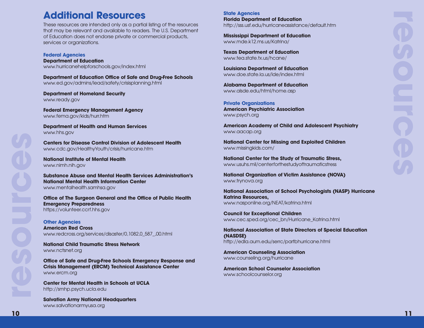### **Additional Resources**

These resources are intended only as a partial listing of the resources that may be relevant and available to readers. The U.S. Department of Education does not endorse private or commercial products, services or organizations.

**Federal Agencies Department of Education** www.hurricanehelpforschools.gov/index.html

**Department of Education Office of Safe and Drug-Free Schools** www.ed.gov/admins/lead/safety/crisisplanning.html

**Department of Homeland Security** www.ready.gov

**Federal Emergency Management Agency** www.fema.gov/kids/hurr.htm

**Department of Health and Human Services** www.hhs.gov

**Centers for Disease Control Division of Adolescent Health** www.cdc.gov/HealthyYouth/crisis/hurricane.htm

**National Institute of Mental Health** www.nimh.nih.gov

**Substance Abuse and Mental Health Services Administration's National Mental Health Information Center** www.mentalhealth.samhsa.gov

**Office of The Surgeon General and the Office of Public Health Emergency Preparedness** https://volunteer.ccrf.hhs.gov

**Other Agencies American Red Cross** www.redcross.org/services/disaster/0,1082,0\_587\_,00.html

**National Child Traumatic Stress Network** www.nctsnet.org

**Office of Safe and Drug-Free Schools Emergency Response and Crisis Management (ERCM) Technical Assistance Center** www.ercm.org

**Center for Mental Health in Schools at UCLA** http://smhp.psych.ucla.edu

**Salvation Army National Headquarters** www.salvationarmyusa.org

**State Agencies Florida Department of Education** http://sss.usf.edu/hurricaneassistance/default.htm

**Mississippi Department of Education** www.mde.k12.ms.us/Katrina/

**Texas Department of Education** www.tea.state.tx.us/hcane/

**Louisiana Department of Education** www.doe.state.la.us/lde/index.html

**Alabama Department of Education** www.alsde.edu/html/home.asp

**Private Organizations American Psychiatric Association** www.psych.org

**American Academy of Child and Adolescent Psychiatry** www.aacap.org

**National Center for Missing and Exploited Children** www.missingkids.com/

**National Center for the Study of Traumatic Stress,** www.usuhs.mil/centerforthestudyoftraumaticstress

**National Organization of Victim Assistance (NOVA)** www.trynova.org

**National Association of School Psychologists (NASP) Hurricane Katrina Resources,** www.nasponline.org/NEAT/katrina.html

**Council for Exceptional Children** www.cec.sped.org/cec\_bn/Hurricane\_Katrina.html

**National Association of State Directors of Special Education (NASDSE)** http://edla.aum.edu/serrc/partbhurricane.html

**American Counseling Association** www.counseling.org/hurricane

**American School Counselor Association** www.schoolcounselor.org